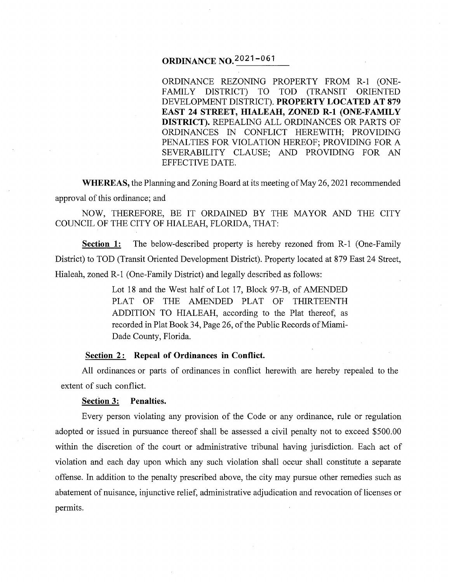# **ORDINANCE N0.20 2 1-061**

ORDINANCE REZONING PROPERTY FROM R-1 (ONE-FAMILY DISTRICT) TO TOD (TRANSIT ORIENTED DEVELOPMENT DISTRICT). **PROPERTY LOCATED AT 879 EAST 24 STREET, HIALEAH, ZONED R-1 (ONE-FAMILY DISTRICT).** REPEALING ALL ORDINANCES OR PARTS OF ORDINANCES IN CONFLICT HEREWITH; PROVIDING PENALTIES FOR VIOLATION HEREOF; PROVIDING FOR A SEVERABILITY CLAUSE; AND PROVIDING FOR AN EFFECTIVE DATE.

**WHEREAS,** the Planning and Zoning Board at its meeting of May 26, 2021 recommended approval of this ordinance; and

NOW, THEREFORE, BE IT ORDAINED BY THE MAYOR AND THE CITY COUNCIL OF THE CITY OF HIALEAH, FLORIDA, THAT:

**Section 1:** The below-described property is hereby rezoned from R-1 (One-Family District) to TOD (Transit Oriented Development District). Property located at 879 East 24 Street, Hialeah, zoned R-1 (One-Family District) and legally described as follows:

> Lot 18 and the West half of Lot 17, Block 97-B, of AMENDED PLAT OF THE AMENDED PLAT OF THIRTEENTH ADDITION TO HIALEAH, according to the Plat thereof, as recorded in Plat Book 34, Page 26, of the Public Records of Miami-Dade County, Florida.

## **Section 2: Repeal of Ordinances in Conflict.**

All ordinances or parts of ordinances in conflict herewith are hereby repealed to the extent of such conflict.

### **Section 3: Penalties.**

Every person violating any provision of the Code or any ordinance, rule or regulation adopted or issued in pursuance thereof shall be assessed a civil penalty not to exceed \$500.00 within the discretion of the court or administrative tribunal having jurisdiction. Each act of violation and each day upon which any such violation shall occur shall constitute a separate offense. In addition to the penalty prescribed above, the city may pursue other remedies such as abatement of nuisance, injunctive relief, administrative adjudication and revocation of licenses or permits.